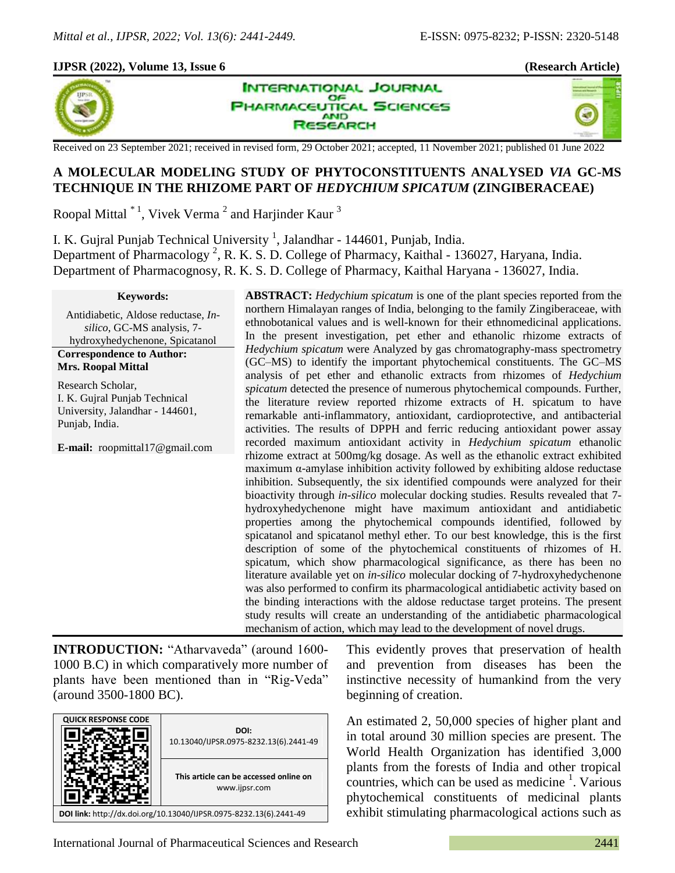#### **IJPSR (2022), Volume 13, Issue 6 (Research Article)**



**INTERNATIONAL JOURNAL** OF **HARMACEUTICAL SCIENCES AND SEARCH** 



Received on 23 September 2021; received in revised form, 29 October 2021; accepted, 11 November 2021; published 01 June 2022

# **A MOLECULAR MODELING STUDY OF PHYTOCONSTITUENTS ANALYSED** *VIA* **GC-MS TECHNIQUE IN THE RHIZOME PART OF** *HEDYCHIUM SPICATUM* **(ZINGIBERACEAE)**

Roopal Mittal  $^*$ <sup>1</sup>, Vivek Verma<sup>2</sup> and Harjinder Kaur<sup>3</sup>

I. K. Gujral Punjab Technical University<sup>1</sup>, Jalandhar - 144601, Punjab, India. Department of Pharmacology<sup>2</sup>, R. K. S. D. College of Pharmacy, Kaithal - 136027, Haryana, India. Department of Pharmacognosy, R. K. S. D. College of Pharmacy, Kaithal Haryana - 136027, India.

#### **Keywords:**

Antidiabetic, Aldose reductase, *Insilico*, GC-MS analysis, 7 hydroxyhedychenone, Spicatanol

**Correspondence to Author: Mrs. Roopal Mittal**

Research Scholar, I. K. Gujral Punjab Technical University, Jalandhar - 144601, Punjab, India.

**E-mail:** roopmittal17@gmail.com

**ABSTRACT:** *Hedychium spicatum* is one of the plant species reported from the northern Himalayan ranges of India, belonging to the family Zingiberaceae, with ethnobotanical values and is well-known for their ethnomedicinal applications. In the present investigation, pet ether and ethanolic rhizome extracts of *Hedychium spicatum* were Analyzed by gas chromatography-mass spectrometry (GC–MS) to identify the important phytochemical constituents. The GC–MS analysis of pet ether and ethanolic extracts from rhizomes of *Hedychium spicatum* detected the presence of numerous phytochemical compounds. Further, the literature review reported rhizome extracts of H. spicatum to have remarkable anti-inflammatory, antioxidant, cardioprotective, and antibacterial activities. The results of DPPH and ferric reducing antioxidant power assay recorded maximum antioxidant activity in *Hedychium spicatum* ethanolic rhizome extract at 500mg/kg dosage. As well as the ethanolic extract exhibited maximum α-amylase inhibition activity followed by exhibiting aldose reductase inhibition. Subsequently, the six identified compounds were analyzed for their bioactivity through *in-silico* molecular docking studies. Results revealed that 7 hydroxyhedychenone might have maximum antioxidant and antidiabetic properties among the phytochemical compounds identified, followed by spicatanol and spicatanol methyl ether. To our best knowledge, this is the first description of some of the phytochemical constituents of rhizomes of H. spicatum, which show pharmacological significance, as there has been no literature available yet on *in-silico* molecular docking of 7-hydroxyhedychenone was also performed to confirm its pharmacological antidiabetic activity based on the binding interactions with the aldose reductase target proteins. The present study results will create an understanding of the antidiabetic pharmacological mechanism of action, which may lead to the development of novel drugs.

**INTRODUCTION:** "Atharvaveda" (around 1600- 1000 B.C) in which comparatively more number of plants have been mentioned than in "Rig-Veda" (around 3500-1800 BC).

| <b>QUICK RESPONSE CODE</b>                                         | DOI:<br>10.13040/IJPSR.0975-8232.13(6).2441-49          |  |  |  |
|--------------------------------------------------------------------|---------------------------------------------------------|--|--|--|
|                                                                    | This article can be accessed online on<br>www.ijpsr.com |  |  |  |
| DOI link: http://dx.doi.org/10.13040/IJPSR.0975-8232.13(6).2441-49 |                                                         |  |  |  |

This evidently proves that preservation of health and prevention from diseases has been the instinctive necessity of humankind from the very beginning of creation.

An estimated 2, 50,000 species of higher plant and in total around 30 million species are present. The World Health Organization has identified 3,000 plants from the forests of India and other tropical countries, which can be used as medicine  $<sup>1</sup>$ . Various</sup> phytochemical constituents of medicinal plants exhibit stimulating pharmacological actions such as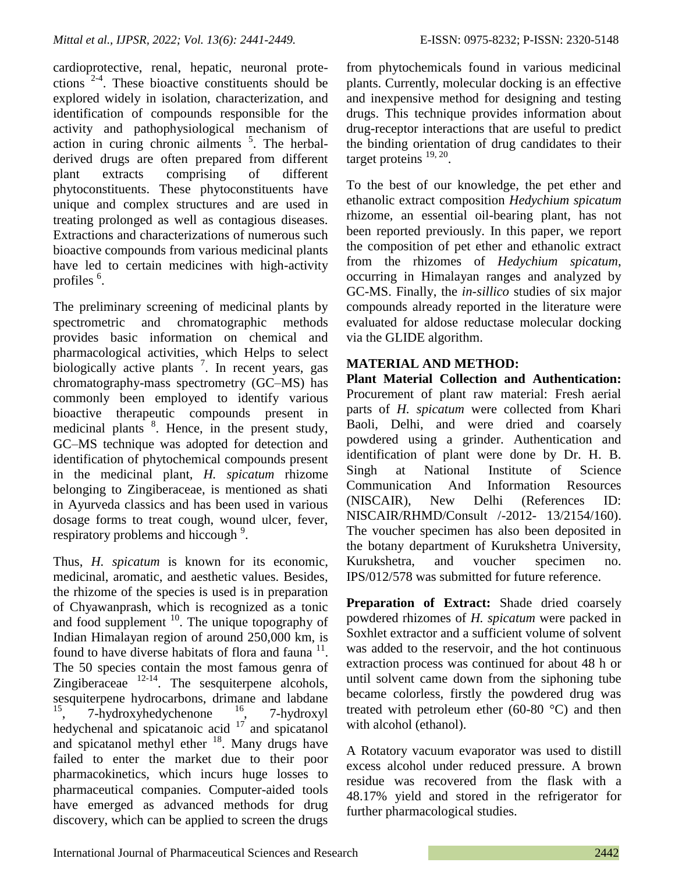cardioprotective, renal, hepatic, neuronal protections  $2-4$ . These bioactive constituents should be explored widely in isolation, characterization, and identification of compounds responsible for the activity and pathophysiological mechanism of action in curing chronic ailments  $5$ . The herbalderived drugs are often prepared from different plant extracts comprising of different phytoconstituents. These phytoconstituents have unique and complex structures and are used in treating prolonged as well as contagious diseases. Extractions and characterizations of numerous such bioactive compounds from various medicinal plants have led to certain medicines with high-activity profiles<sup>6</sup>.

The preliminary screening of medicinal plants by spectrometric and chromatographic methods provides basic information on chemical and pharmacological activities, which Helps to select biologically active plants  $\frac{7}{1}$ . In recent years, gas chromatography-mass spectrometry (GC–MS) has commonly been employed to identify various bioactive therapeutic compounds present in medicinal plants <sup>8</sup>. Hence, in the present study, GC–MS technique was adopted for detection and identification of phytochemical compounds present in the medicinal plant, *H. spicatum* rhizome belonging to Zingiberaceae, is mentioned as shati in Ayurveda classics and has been used in various dosage forms to treat cough, wound ulcer, fever, respiratory problems and hiccough<sup>9</sup>.

Thus, *H. spicatum* is known for its economic, medicinal, aromatic, and aesthetic values. Besides, the rhizome of the species is used is in preparation of Chyawanprash, which is recognized as a tonic and food supplement  $10$ . The unique topography of Indian Himalayan region of around 250,000 km, is found to have diverse habitats of flora and fauna  $11$ . The 50 species contain the most famous genra of Zingiberaceae  $12-14$ . The sesquiterpene alcohols, sesquiterpene hydrocarbons, drimane and labdane<br> $\frac{15}{7}$   $\frac{7 \text{hvdrow} \text{hvdrow}}{7 \text{hvdrow}}$ <sup>15</sup>, 7-hydroxyhedychenone <sup>16</sup>, 7-hydroxyl hedychenal and spicatanoic acid  $17$  and spicatanol and spicatanol methyl ether  $18$ . Many drugs have failed to enter the market due to their poor pharmacokinetics, which incurs huge losses to pharmaceutical companies. Computer-aided tools have emerged as advanced methods for drug discovery, which can be applied to screen the drugs

from phytochemicals found in various medicinal plants. Currently, molecular docking is an effective and inexpensive method for designing and testing drugs. This technique provides information about drug-receptor interactions that are useful to predict the binding orientation of drug candidates to their target proteins  $^{19, 20}$ .

To the best of our knowledge, the pet ether and ethanolic extract composition *Hedychium spicatum* rhizome, an essential oil-bearing plant, has not been reported previously. In this paper, we report the composition of pet ether and ethanolic extract from the rhizomes of *Hedychium spicatum*, occurring in Himalayan ranges and analyzed by GC-MS. Finally, the *in-sillico* studies of six major compounds already reported in the literature were evaluated for aldose reductase molecular docking via the GLIDE algorithm.

## **MATERIAL AND METHOD:**

**Plant Material Collection and Authentication:**  Procurement of plant raw material: Fresh aerial parts of *H. spicatum* were collected from Khari Baoli, Delhi, and were dried and coarsely powdered using a grinder. Authentication and identification of plant were done by Dr. H. B. Singh at National Institute of Science Communication And Information Resources (NISCAIR), New Delhi (References ID: NISCAIR/RHMD/Consult /-2012- 13/2154/160). The voucher specimen has also been deposited in the botany department of Kurukshetra University, Kurukshetra, and voucher specimen no. IPS/012/578 was submitted for future reference.

**Preparation of Extract:** Shade dried coarsely powdered rhizomes of *H. spicatum* were packed in Soxhlet extractor and a sufficient volume of solvent was added to the reservoir, and the hot continuous extraction process was continued for about 48 h or until solvent came down from the siphoning tube became colorless, firstly the powdered drug was treated with petroleum ether  $(60-80 \degree C)$  and then with alcohol (ethanol).

A Rotatory vacuum evaporator was used to distill excess alcohol under reduced pressure. A brown residue was recovered from the flask with a 48.17% yield and stored in the refrigerator for further pharmacological studies.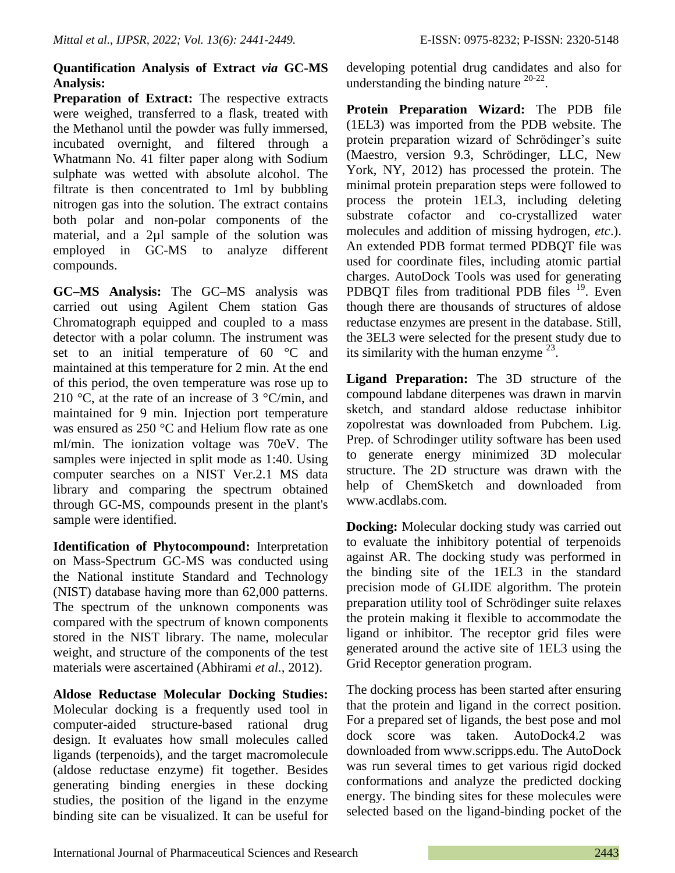### **Quantification Analysis of Extract** *via* **GC-MS Analysis:**

**Preparation of Extract:** The respective extracts were weighed, transferred to a flask, treated with the Methanol until the powder was fully immersed, incubated overnight, and filtered through a Whatmann No. 41 filter paper along with Sodium sulphate was wetted with absolute alcohol. The filtrate is then concentrated to 1ml by bubbling nitrogen gas into the solution. The extract contains both polar and non-polar components of the material, and a 2µl sample of the solution was employed in GC-MS to analyze different compounds.

**GC–MS Analysis:** The GC–MS analysis was carried out using Agilent Chem station Gas Chromatograph equipped and coupled to a mass detector with a polar column. The instrument was set to an initial temperature of 60 °C and maintained at this temperature for 2 min. At the end of this period, the oven temperature was rose up to 210 °C, at the rate of an increase of 3 °C/min, and maintained for 9 min. Injection port temperature was ensured as 250 °C and Helium flow rate as one ml/min. The ionization voltage was 70eV. The samples were injected in split mode as 1:40. Using computer searches on a NIST Ver.2.1 MS data library and comparing the spectrum obtained through GC-MS, compounds present in the plant's sample were identified.

**Identification of Phytocompound:** Interpretation on Mass-Spectrum GC-MS was conducted using the National institute Standard and Technology (NIST) database having more than 62,000 patterns. The spectrum of the unknown components was compared with the spectrum of known components stored in the NIST library. The name, molecular weight, and structure of the components of the test materials were ascertained (Abhirami *et al.,* 2012).

**Aldose Reductase Molecular Docking Studies:**  Molecular docking is a frequently used tool in computer-aided structure-based rational drug design. It evaluates how small molecules called ligands (terpenoids), and the target macromolecule (aldose reductase enzyme) fit together. Besides generating binding energies in these docking studies, the position of the ligand in the enzyme binding site can be visualized. It can be useful for developing potential drug candidates and also for understanding the binding nature  $20-22$ .

**Protein Preparation Wizard:** The PDB file (1EL3) was imported from the PDB website. The protein preparation wizard of Schrödinger's suite (Maestro, version 9.3, Schrödinger, LLC, New York, NY, 2012) has processed the protein. The minimal protein preparation steps were followed to process the protein 1EL3, including deleting substrate cofactor and co-crystallized water molecules and addition of missing hydrogen, *etc*.). An extended PDB format termed PDBQT file was used for coordinate files, including atomic partial charges. AutoDock Tools was used for generating PDBQT files from traditional PDB files  $19$ . Even though there are thousands of structures of aldose reductase enzymes are present in the database. Still, the 3EL3 were selected for the present study due to its similarity with the human enzyme  $^{23}$ .

**Ligand Preparation:** The 3D structure of the compound labdane diterpenes was drawn in marvin sketch, and standard aldose reductase inhibitor zopolrestat was downloaded from Pubchem. Lig. Prep. of Schrodinger utility software has been used to generate energy minimized 3D molecular structure. The 2D structure was drawn with the help of ChemSketch and downloaded from www.acdlabs.com.

**Docking:** Molecular docking study was carried out to evaluate the inhibitory potential of terpenoids against AR. The docking study was performed in the binding site of the 1EL3 in the standard precision mode of GLIDE algorithm. The protein preparation utility tool of Schrödinger suite relaxes the protein making it flexible to accommodate the ligand or inhibitor. The receptor grid files were generated around the active site of 1EL3 using the Grid Receptor generation program.

The docking process has been started after ensuring that the protein and ligand in the correct position. For a prepared set of ligands, the best pose and mol dock score was taken. AutoDock4.2 was downloaded from www.scripps.edu. The AutoDock was run several times to get various rigid docked conformations and analyze the predicted docking energy. The binding sites for these molecules were selected based on the ligand-binding pocket of the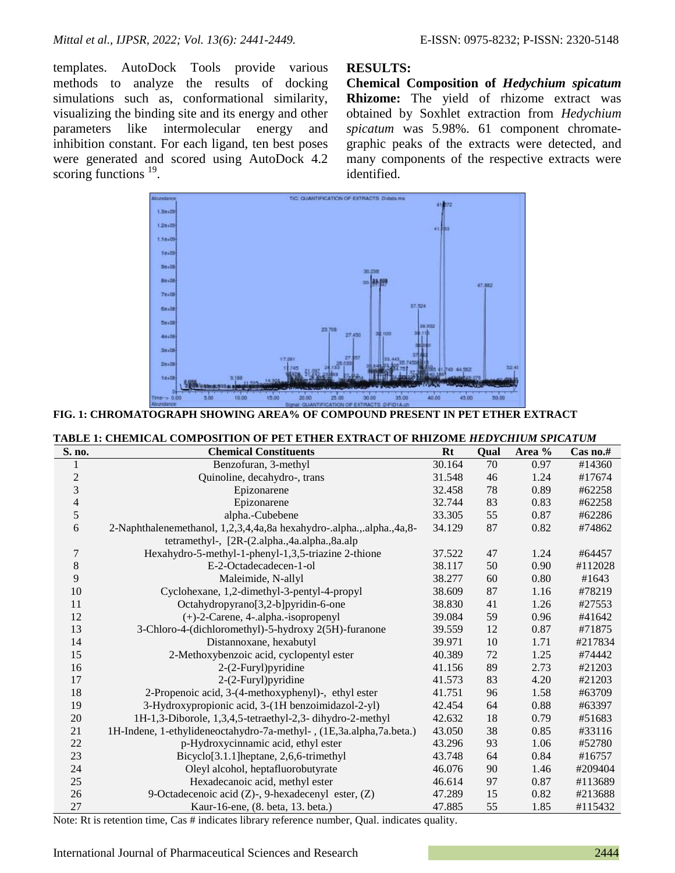templates. AutoDock Tools provide various methods to analyze the results of docking simulations such as, conformational similarity, visualizing the binding site and its energy and other parameters like intermolecular energy and inhibition constant. For each ligand, ten best poses were generated and scored using AutoDock 4.2 scoring functions  $19$ .

#### **RESULTS:**

**Chemical Composition of** *Hedychium spicatum* **Rhizome:** The yield of rhizome extract was obtained by Soxhlet extraction from *Hedychium spicatum* was 5.98%. 61 component chromategraphic peaks of the extracts were detected, and many components of the respective extracts were identified.



| FIG. 1: CHROMATOGRAPH SHOWING AREA% OF COMPOUND PRESENT IN PET ETHER EXTRACT |  |  |  |
|------------------------------------------------------------------------------|--|--|--|
|------------------------------------------------------------------------------|--|--|--|

| TABLE 1: CHEMICAL COMPOSITION OF PET ETHER EXTRACT OF RHIZOME HEDYCHIUM SPICATUM |                                                                      |           |        |        |          |
|----------------------------------------------------------------------------------|----------------------------------------------------------------------|-----------|--------|--------|----------|
| S. no.                                                                           | <b>Chemical Constituents</b>                                         | <b>Rt</b> | Qual   | Area % | Cas no.# |
|                                                                                  | Benzofuran, 3-methyl                                                 | 30.164    | 70     | 0.97   | #14360   |
| $\overline{2}$                                                                   | Quinoline, decahydro-, trans                                         | 31.548    | 46     | 1.24   | #17674   |
| 3                                                                                | Epizonarene                                                          | 32.458    | 78     | 0.89   | #62258   |
| 4                                                                                | Epizonarene                                                          | 32.744    | 83     | 0.83   | #62258   |
| 5                                                                                | alpha.-Cubebene                                                      | 33.305    | 55     | 0.87   | #62286   |
| 6                                                                                | 2-Naphthalenemethanol, 1,2,3,4,4a,8a hexahydro-.alpha.,.alpha.,4a,8- | 34.129    | 87     | 0.82   | #74862   |
|                                                                                  | tetramethyl-, [2R-(2.alpha.,4a.alpha.,8a.alp                         |           |        |        |          |
| 7                                                                                | Hexahydro-5-methyl-1-phenyl-1,3,5-triazine 2-thione                  | 37.522    | 47     | 1.24   | #64457   |
| 8                                                                                | E-2-Octadecadecen-1-ol                                               | 38.117    | 50     | 0.90   | #112028  |
| 9                                                                                | Maleimide, N-allyl                                                   | 38.277    | 60     | 0.80   | #1643    |
| 10                                                                               | Cyclohexane, 1,2-dimethyl-3-pentyl-4-propyl                          | 38.609    | 87     | 1.16   | #78219   |
| 11                                                                               | Octahydropyrano[3,2-b]pyridin-6-one                                  | 38.830    | 41     | 1.26   | #27553   |
| 12                                                                               | $(+)$ -2-Carene, 4-.alpha.-isopropenyl                               | 39.084    | 59     | 0.96   | #41642   |
| 13                                                                               | 3-Chloro-4-(dichloromethyl)-5-hydroxy 2(5H)-furanone                 | 39.559    | 12     | 0.87   | #71875   |
| 14                                                                               | Distannoxane, hexabutyl                                              | 39.971    | $10\,$ | 1.71   | #217834  |
| 15                                                                               | 2-Methoxybenzoic acid, cyclopentyl ester                             | 40.389    | 72     | 1.25   | #74442   |
| 16                                                                               | 2-(2-Furyl)pyridine                                                  | 41.156    | 89     | 2.73   | #21203   |
| 17                                                                               | 2-(2-Furyl)pyridine                                                  | 41.573    | 83     | 4.20   | #21203   |
| 18                                                                               | 2-Propenoic acid, 3-(4-methoxyphenyl)-, ethyl ester                  | 41.751    | 96     | 1.58   | #63709   |
| 19                                                                               | 3-Hydroxypropionic acid, 3-(1H benzoimidazol-2-yl)                   | 42.454    | 64     | 0.88   | #63397   |
| 20                                                                               | 1H-1,3-Diborole, 1,3,4,5-tetraethyl-2,3-dihydro-2-methyl             | 42.632    | 18     | 0.79   | #51683   |
| 21                                                                               | 1H-Indene, 1-ethylideneoctahydro-7a-methyl-, (1E,3a.alpha,7a.beta.)  | 43.050    | 38     | 0.85   | #33116   |
| 22                                                                               | p-Hydroxycinnamic acid, ethyl ester                                  | 43.296    | 93     | 1.06   | #52780   |
| 23                                                                               | Bicyclo <sup>[3.1.1</sup> ] heptane, 2,6,6-trimethyl                 | 43.748    | 64     | 0.84   | #16757   |
| 24                                                                               | Oleyl alcohol, heptafluorobutyrate                                   | 46.076    | 90     | 1.46   | #209404  |
| 25                                                                               | Hexadecanoic acid, methyl ester                                      | 46.614    | 97     | 0.87   | #113689  |
| 26                                                                               | 9-Octadecenoic acid (Z)-, 9-hexadecenyl ester, (Z)                   | 47.289    | 15     | 0.82   | #213688  |
| 27                                                                               | Kaur-16-ene, (8. beta, 13. beta.)                                    | 47.885    | 55     | 1.85   | #115432  |

Note: Rt is retention time, Cas # indicates library reference number, Qual. indicates quality.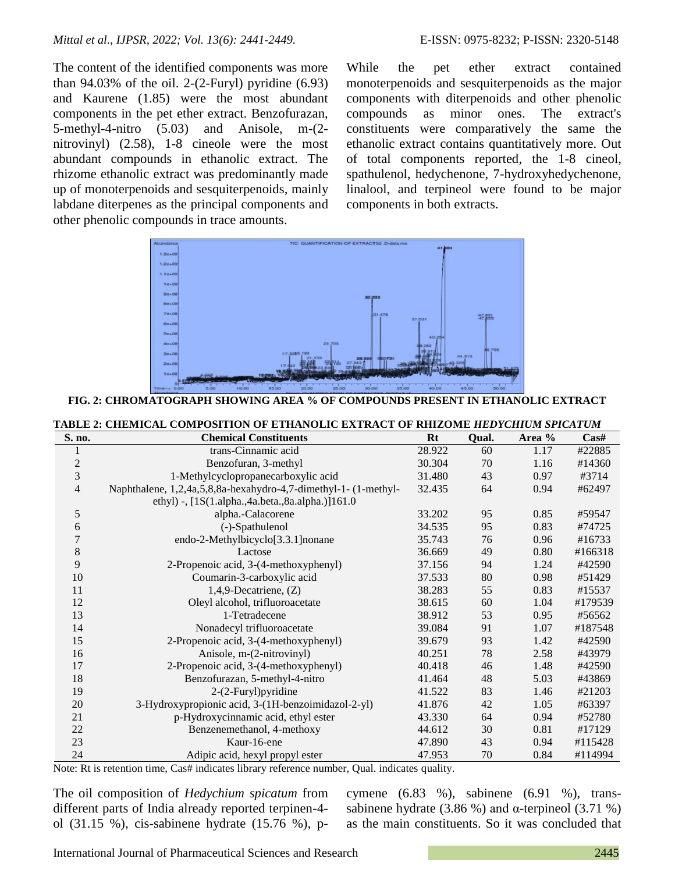The content of the identified components was more than  $94.03\%$  of the oil. 2-(2-Furyl) pyridine (6.93) and Kaurene (1.85) were the most abundant components in the pet ether extract. Benzofurazan, 5-methyl-4-nitro (5.03) and Anisole, m-(2 nitrovinyl) (2.58), 1-8 cineole were the most abundant compounds in ethanolic extract. The rhizome ethanolic extract was predominantly made up of monoterpenoids and sesquiterpenoids, mainly labdane diterpenes as the principal components and other phenolic compounds in trace amounts.

While the pet ether extract contained monoterpenoids and sesquiterpenoids as the major components with diterpenoids and other phenolic compounds as minor ones. The extract's constituents were comparatively the same the ethanolic extract contains quantitatively more. Out of total components reported, the 1-8 cineol, spathulenol, hedychenone, 7-hydroxyhedychenone, linalool, and terpineol were found to be major components in both extracts.



**FIG. 2: CHROMATOGRAPH SHOWING AREA % OF COMPOUNDS PRESENT IN ETHANOLIC EXTRACT**

| S. no.         | <b>Chemical Constituents</b>                                    | $Rt$   | Qual. | Area % | $\bf Cas\#$ |
|----------------|-----------------------------------------------------------------|--------|-------|--------|-------------|
| 1              | trans-Cinnamic acid                                             | 28.922 | 60    | 1.17   | #22885      |
| $\overline{c}$ | Benzofuran, 3-methyl                                            | 30.304 | 70    | 1.16   | #14360      |
| 3              | 1-Methylcyclopropanecarboxylic acid                             | 31.480 | 43    | 0.97   | #3714       |
| 4              | Naphthalene, 1,2,4a,5,8,8a-hexahydro-4,7-dimethyl-1- (1-methyl- | 32.435 | 64    | 0.94   | #62497      |
|                | ethyl) -, [1S(1.alpha.,4a.beta.,8a.alpha.)]161.0                |        |       |        |             |
| 5              | alpha.-Calacorene                                               | 33.202 | 95    | 0.85   | #59547      |
| 6              | (-)-Spathulenol                                                 | 34.535 | 95    | 0.83   | #74725      |
| 7              | endo-2-Methylbicyclo[3.3.1] nonane                              | 35.743 | 76    | 0.96   | #16733      |
| 8              | Lactose                                                         | 36.669 | 49    | 0.80   | #166318     |
| 9              | 2-Propenoic acid, 3-(4-methoxyphenyl)                           | 37.156 | 94    | 1.24   | #42590      |
| 10             | Coumarin-3-carboxylic acid                                      | 37.533 | 80    | 0.98   | #51429      |
| 11             | $1,4,9$ -Decatriene, $(Z)$                                      | 38.283 | 55    | 0.83   | #15537      |
| 12             | Oleyl alcohol, trifluoroacetate                                 | 38.615 | 60    | 1.04   | #179539     |
| 13             | 1-Tetradecene                                                   | 38.912 | 53    | 0.95   | #56562      |
| 14             | Nonadecyl trifluoroacetate                                      | 39.084 | 91    | 1.07   | #187548     |
| 15             | 2-Propenoic acid, 3-(4-methoxyphenyl)                           | 39.679 | 93    | 1.42   | #42590      |
| 16             | Anisole, m-(2-nitrovinyl)                                       | 40.251 | 78    | 2.58   | #43979      |
| 17             | 2-Propenoic acid, 3-(4-methoxyphenyl)                           | 40.418 | 46    | 1.48   | #42590      |
| 18             | Benzofurazan, 5-methyl-4-nitro                                  | 41.464 | 48    | 5.03   | #43869      |
| 19             | $2-(2-Furyl)$ pyridine                                          | 41.522 | 83    | 1.46   | #21203      |
| 20             | 3-Hydroxypropionic acid, 3-(1H-benzoimidazol-2-yl)              | 41.876 | 42    | 1.05   | #63397      |
| 21             | p-Hydroxycinnamic acid, ethyl ester                             | 43.330 | 64    | 0.94   | #52780      |
| 22             | Benzenemethanol, 4-methoxy                                      | 44.612 | 30    | 0.81   | #17129      |
| 23             | Kaur-16-ene                                                     | 47.890 | 43    | 0.94   | #115428     |
| 24             | Adipic acid, hexyl propyl ester                                 | 47.953 | 70    | 0.84   | #114994     |

**TABLE 2: CHEMICAL COMPOSITION OF ETHANOLIC EXTRACT OF RHIZOME** *HEDYCHIUM SPICATUM*

Note: Rt is retention time, Cas# indicates library reference number, Qual. indicates quality.

The oil composition of *Hedychium spicatum* from different parts of India already reported terpinen-4 ol (31.15 %), cis-sabinene hydrate (15.76 %), pcymene (6.83 %), sabinene (6.91 %), transsabinene hydrate (3.86 %) and α-terpineol (3.71 %) as the main constituents. So it was concluded that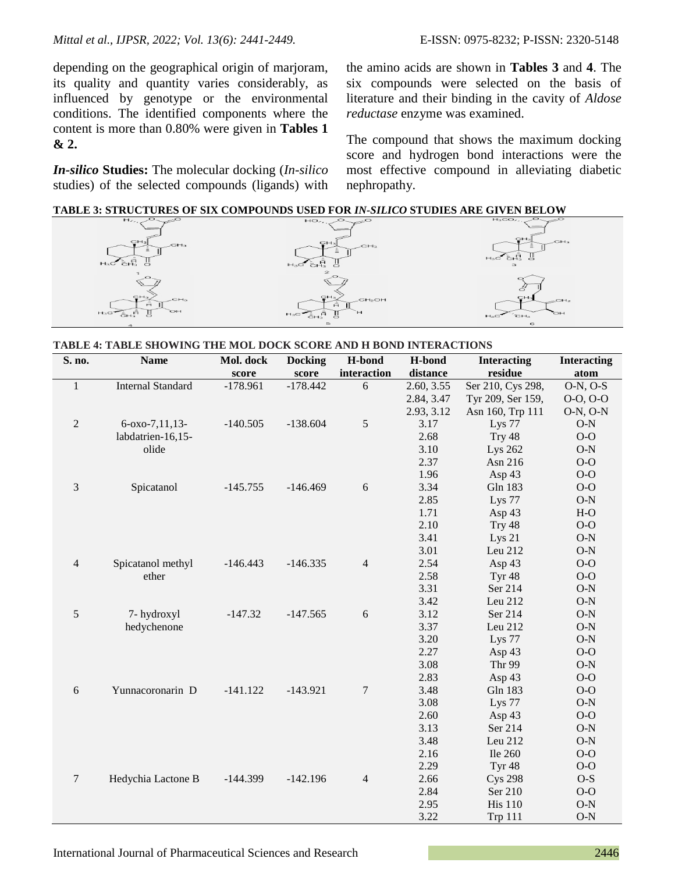depending on the geographical origin of marjoram, its quality and quantity varies considerably, as influenced by genotype or the environmental conditions. The identified components where the content is more than 0.80% were given in **Tables 1 & 2.**

*In-silico* **Studies:** The molecular docking (*In-silico* studies) of the selected compounds (ligands) with

the amino acids are shown in **Tables 3** and **4**. The six compounds were selected on the basis of literature and their binding in the cavity of *Aldose reductase* enzyme was examined.

The compound that shows the maximum docking score and hydrogen bond interactions were the most effective compound in alleviating diabetic nephropathy.

| <b>TABLE 3: STRUCTURES OF SIX COMPOUNDS USED FOR IN-SILICO STUDIES ARE GIVEN BELOW</b> |  |  |  |
|----------------------------------------------------------------------------------------|--|--|--|
|----------------------------------------------------------------------------------------|--|--|--|



#### **TABLE 4: TABLE SHOWING THE MOL DOCK SCORE AND H BOND INTERACTIONS**

| S. no.       | <b>Name</b>              | Mol. dock  | <b>Docking</b> | H-bond           | H-bond     | <b>Interacting</b> | <b>Interacting</b> |
|--------------|--------------------------|------------|----------------|------------------|------------|--------------------|--------------------|
|              |                          | score      | score          | interaction      | distance   | residue            | atom               |
| $\mathbf{1}$ | <b>Internal Standard</b> | $-178.961$ | $-178.442$     | 6                | 2.60, 3.55 | Ser 210, Cys 298,  | $O-N$ , $O-S$      |
|              |                          |            |                |                  | 2.84, 3.47 | Tyr 209, Ser 159,  | $0-0, 0-0$         |
|              |                          |            |                |                  | 2.93, 3.12 | Asn 160, Trp 111   | $O-N$ , $O-N$      |
| $\mathbf{2}$ | $6 - 0x - 7, 11, 13 -$   | $-140.505$ | $-138.604$     | 5                | 3.17       | Lys 77             | $O-N$              |
|              | labdatrien-16,15-        |            |                |                  | 2.68       | Try 48             | $O-O$              |
|              | olide                    |            |                |                  | 3.10       | Lys 262            | $O-N$              |
|              |                          |            |                |                  | 2.37       | Asn 216            | $0-0$              |
|              |                          |            |                |                  | 1.96       | Asp 43             | $0-0$              |
| 3            | Spicatanol               | $-145.755$ | $-146.469$     | 6                | 3.34       | Gln 183            | $O-O$              |
|              |                          |            |                |                  | 2.85       | Lys 77             | $O-N$              |
|              |                          |            |                |                  | 1.71       | Asp 43             | $H-O$              |
|              |                          |            |                |                  | 2.10       | Try 48             | $0-0$              |
|              |                          |            |                |                  | 3.41       | Lys $21$           | $O-N$              |
|              |                          |            |                |                  | 3.01       | Leu 212            | $O-N$              |
| 4            | Spicatanol methyl        | $-146.443$ | $-146.335$     | $\overline{4}$   | 2.54       | Asp 43             | $O-O$              |
|              | ether                    |            |                |                  | 2.58       | Tyr <sub>48</sub>  | $O-O$              |
|              |                          |            |                |                  | 3.31       | Ser 214            | $O-N$              |
|              |                          |            |                |                  | 3.42       | Leu 212            | $O-N$              |
| 5            | 7- hydroxyl              | $-147.32$  | $-147.565$     | 6                | 3.12       | Ser 214            | $O-N$              |
|              | hedychenone              |            |                |                  | 3.37       | Leu 212            | $O-N$              |
|              |                          |            |                |                  | 3.20       | Lys 77             | $O-N$              |
|              |                          |            |                |                  | 2.27       | Asp 43             | $0-0$              |
|              |                          |            |                |                  | 3.08       | Thr 99             | $O-N$              |
|              |                          |            |                |                  | 2.83       | Asp 43             | $O-O$              |
| 6            | Yunnacoronarin D         | $-141.122$ | $-143.921$     | $\boldsymbol{7}$ | 3.48       | Gln 183            | $0-0$              |
|              |                          |            |                |                  | 3.08       | Lys 77             | $O-N$              |
|              |                          |            |                |                  | 2.60       | Asp 43             | $0-0$              |
|              |                          |            |                |                  | 3.13       | Ser 214            | $O-N$              |
|              |                          |            |                |                  | 3.48       | Leu 212            | $O-N$              |
|              |                          |            |                |                  | 2.16       | <b>Ile 260</b>     | $O-O$              |
|              |                          |            |                |                  | 2.29       | Tyr <sub>48</sub>  | $O-O$              |
| 7            | Hedychia Lactone B       | $-144.399$ | $-142.196$     | $\overline{4}$   | 2.66       | <b>Cys 298</b>     | $O-S$              |
|              |                          |            |                |                  | 2.84       | Ser 210            | $O-O$              |
|              |                          |            |                |                  | 2.95       | <b>His 110</b>     | $O-N$              |
|              |                          |            |                |                  | 3.22       | <b>Trp 111</b>     | $O-N$              |

International Journal of Pharmaceutical Sciences and Research 2446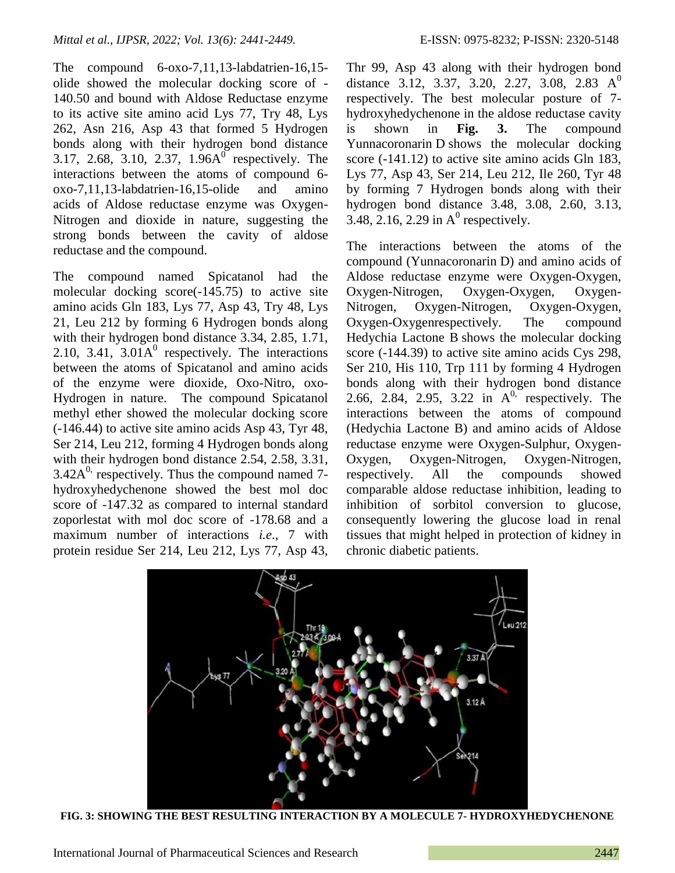The compound 6-oxo-7,11,13-labdatrien-16,15 olide showed the molecular docking score of - 140.50 and bound with Aldose Reductase enzyme to its active site amino acid Lys 77, Try 48, Lys 262, Asn 216, Asp 43 that formed 5 Hydrogen bonds along with their hydrogen bond distance 3.17, 2.68, 3.10, 2.37,  $1.96A^0$  respectively. The interactions between the atoms of compound 6 oxo-7,11,13-labdatrien-16,15-olide and amino acids of Aldose reductase enzyme was Oxygen-Nitrogen and dioxide in nature, suggesting the strong bonds between the cavity of aldose reductase and the compound.

The compound named Spicatanol had the molecular docking score(-145.75) to active site amino acids Gln 183, Lys 77, Asp 43, Try 48, Lys 21, Leu 212 by forming 6 Hydrogen bonds along with their hydrogen bond distance 3.34, 2.85, 1.71, 2.10, 3.41,  $3.01A^0$  respectively. The interactions between the atoms of Spicatanol and amino acids of the enzyme were dioxide, Oxo-Nitro, oxo-Hydrogen in nature. The compound Spicatanol methyl ether showed the molecular docking score (-146.44) to active site amino acids Asp 43, Tyr 48, Ser 214, Leu 212, forming 4 Hydrogen bonds along with their hydrogen bond distance 2.54, 2.58, 3.31,  $3.42A<sup>0</sup>$ , respectively. Thus the compound named 7hydroxyhedychenone showed the best mol doc score of -147.32 as compared to internal standard zoporlestat with mol doc score of -178.68 and a maximum number of interactions *i.e*., 7 with protein residue Ser 214, Leu 212, Lys 77, Asp 43,

Thr 99, Asp 43 along with their hydrogen bond distance 3.12, 3.37, 3.20, 2.27, 3.08, 2.83  $A^0$ respectively. The best molecular posture of 7 hydroxyhedychenone in the aldose reductase cavity is shown in **Fig. 3.** The compound Yunnacoronarin D shows the molecular docking score (-141.12) to active site amino acids Gln 183, Lys 77, Asp 43, Ser 214, Leu 212, Ile 260, Tyr 48 by forming 7 Hydrogen bonds along with their hydrogen bond distance 3.48, 3.08, 2.60, 3.13, 3.48, 2.16, 2.29 in  $A^0$  respectively.

The interactions between the atoms of the compound (Yunnacoronarin D) and amino acids of Aldose reductase enzyme were Oxygen-Oxygen, Oxygen-Nitrogen, Oxygen-Oxygen, Oxygen-Nitrogen, Oxygen-Nitrogen, Oxygen-Oxygen, Oxygen-Oxygenrespectively. The compound Hedychia Lactone B shows the molecular docking score (-144.39) to active site amino acids Cys 298, Ser 210, His 110, Trp 111 by forming 4 Hydrogen bonds along with their hydrogen bond distance 2.66, 2.84, 2.95, 3.22 in  $A^{0}$ , respectively. The interactions between the atoms of compound (Hedychia Lactone B) and amino acids of Aldose reductase enzyme were Oxygen-Sulphur, Oxygen-Oxygen, Oxygen-Nitrogen, Oxygen-Nitrogen, respectively. All the compounds showed comparable aldose reductase inhibition, leading to inhibition of sorbitol conversion to glucose, consequently lowering the glucose load in renal tissues that might helped in protection of kidney in chronic diabetic patients.



**FIG. 3: SHOWING THE BEST RESULTING INTERACTION BY A MOLECULE 7- HYDROXYHEDYCHENONE**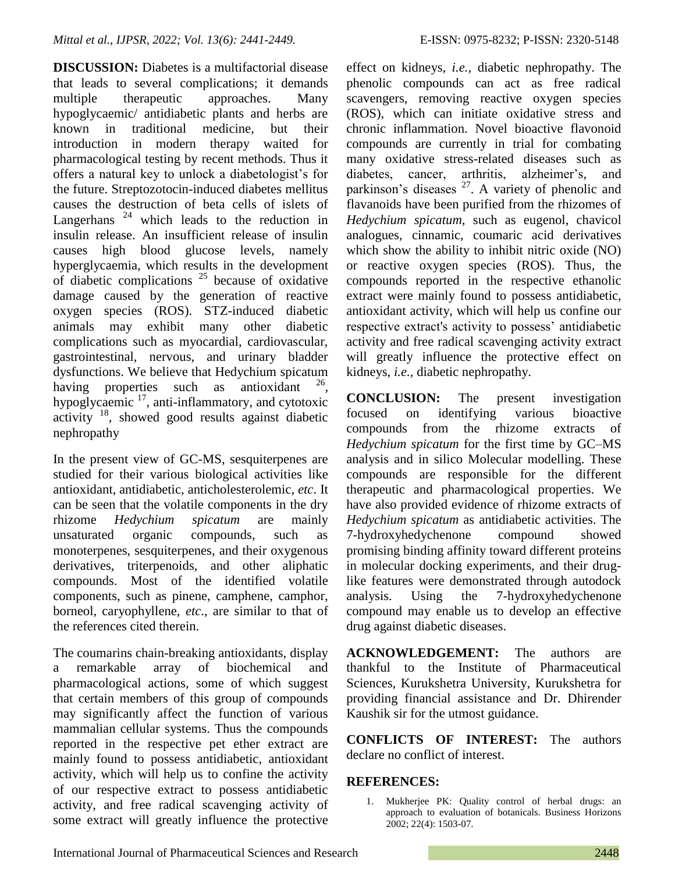**DISCUSSION:** Diabetes is a multifactorial disease that leads to several complications; it demands multiple therapeutic approaches. Many hypoglycaemic/ antidiabetic plants and herbs are known in traditional medicine, but their introduction in modern therapy waited for pharmacological testing by recent methods. Thus it offers a natural key to unlock a diabetologist's for the future. Streptozotocin-induced diabetes mellitus causes the destruction of beta cells of islets of Langerhans<sup>24</sup> which leads to the reduction in insulin release. An insufficient release of insulin causes high blood glucose levels, namely hyperglycaemia, which results in the development of diabetic complications  $25$  because of oxidative damage caused by the generation of reactive oxygen species (ROS). STZ-induced diabetic animals may exhibit many other diabetic complications such as myocardial, cardiovascular, gastrointestinal, nervous, and urinary bladder dysfunctions. We believe that Hedychium spicatum having properties such as antioxidant , hypoglycaemic <sup>17</sup>, anti-inflammatory, and cytotoxic activity <sup>18</sup>, showed good results against diabetic nephropathy

In the present view of GC-MS, sesquiterpenes are studied for their various biological activities like antioxidant, antidiabetic, anticholesterolemic, *etc*. It can be seen that the volatile components in the dry rhizome *Hedychium spicatum* are mainly unsaturated organic compounds, such as monoterpenes, sesquiterpenes, and their oxygenous derivatives, triterpenoids, and other aliphatic compounds. Most of the identified volatile components, such as pinene, camphene, camphor, borneol, caryophyllene, *etc*., are similar to that of the references cited therein.

The coumarins chain-breaking antioxidants, display a remarkable array of biochemical and pharmacological actions, some of which suggest that certain members of this group of compounds may significantly affect the function of various mammalian cellular systems. Thus the compounds reported in the respective pet ether extract are mainly found to possess antidiabetic, antioxidant activity, which will help us to confine the activity of our respective extract to possess antidiabetic activity, and free radical scavenging activity of some extract will greatly influence the protective

effect on kidneys, *i.e.,* diabetic nephropathy. The phenolic compounds can act as free radical scavengers, removing reactive oxygen species (ROS), which can initiate oxidative stress and chronic inflammation. Novel bioactive flavonoid compounds are currently in trial for combating many oxidative stress-related diseases such as diabetes, cancer, arthritis, alzheimer's, and parkinson's diseases  $27$ . A variety of phenolic and flavanoids have been purified from the rhizomes of *Hedychium spicatum,* such as eugenol, chavicol analogues, cinnamic, coumaric acid derivatives which show the ability to inhibit nitric oxide (NO) or reactive oxygen species (ROS). Thus, the compounds reported in the respective ethanolic extract were mainly found to possess antidiabetic, antioxidant activity, which will help us confine our respective extract's activity to possess' antidiabetic activity and free radical scavenging activity extract will greatly influence the protective effect on kidneys, *i.e.,* diabetic nephropathy.

**CONCLUSION:** The present investigation focused on identifying various bioactive compounds from the rhizome extracts of *Hedychium spicatum* for the first time by GC–MS analysis and in silico Molecular modelling. These compounds are responsible for the different therapeutic and pharmacological properties. We have also provided evidence of rhizome extracts of *Hedychium spicatum* as antidiabetic activities. The 7-hydroxyhedychenone compound showed promising binding affinity toward different proteins in molecular docking experiments, and their druglike features were demonstrated through autodock analysis. Using the 7-hydroxyhedychenone compound may enable us to develop an effective drug against diabetic diseases.

**ACKNOWLEDGEMENT:** The authors are thankful to the Institute of Pharmaceutical Sciences, Kurukshetra University, Kurukshetra for providing financial assistance and Dr. Dhirender Kaushik sir for the utmost guidance.

**CONFLICTS OF INTEREST:** The authors declare no conflict of interest.

## **REFERENCES:**

1. Mukherjee PK: Quality control of herbal drugs: an approach to evaluation of botanicals. Business Horizons 2002; 22(4): 1503-07.